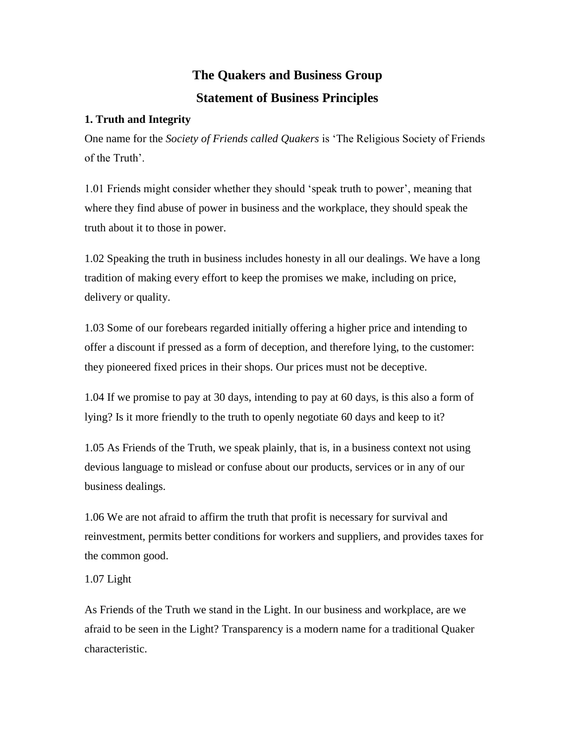# **The Quakers and Business Group Statement of Business Principles**

# **1. Truth and Integrity**

One name for the *Society of Friends called Quakers* is 'The Religious Society of Friends of the Truth'.

1.01 Friends might consider whether they should 'speak truth to power', meaning that where they find abuse of power in business and the workplace, they should speak the truth about it to those in power.

1.02 Speaking the truth in business includes honesty in all our dealings. We have a long tradition of making every effort to keep the promises we make, including on price, delivery or quality.

1.03 Some of our forebears regarded initially offering a higher price and intending to offer a discount if pressed as a form of deception, and therefore lying, to the customer: they pioneered fixed prices in their shops. Our prices must not be deceptive.

1.04 If we promise to pay at 30 days, intending to pay at 60 days, is this also a form of lying? Is it more friendly to the truth to openly negotiate 60 days and keep to it?

1.05 As Friends of the Truth, we speak plainly, that is, in a business context not using devious language to mislead or confuse about our products, services or in any of our business dealings.

1.06 We are not afraid to affirm the truth that profit is necessary for survival and reinvestment, permits better conditions for workers and suppliers, and provides taxes for the common good.

1.07 Light

As Friends of the Truth we stand in the Light. In our business and workplace, are we afraid to be seen in the Light? Transparency is a modern name for a traditional Quaker characteristic.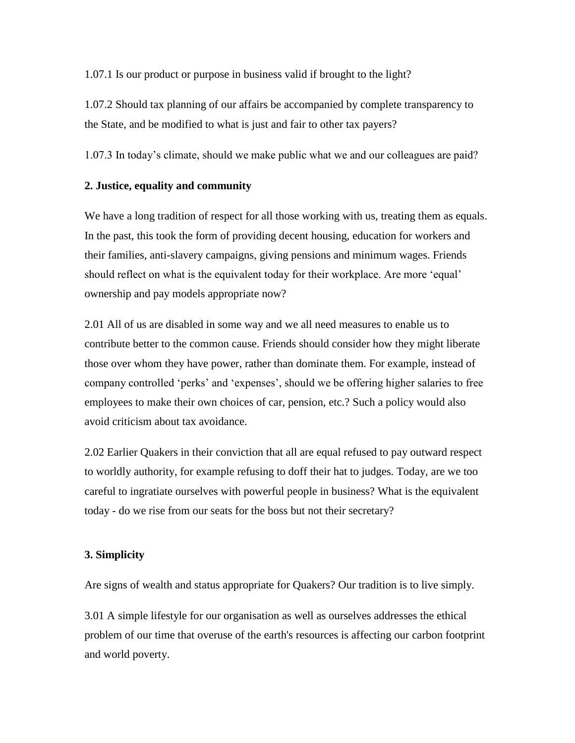1.07.1 Is our product or purpose in business valid if brought to the light?

1.07.2 Should tax planning of our affairs be accompanied by complete transparency to the State, and be modified to what is just and fair to other tax payers?

1.07.3 In today's climate, should we make public what we and our colleagues are paid?

## **2. Justice, equality and community**

We have a long tradition of respect for all those working with us, treating them as equals. In the past, this took the form of providing decent housing, education for workers and their families, anti-slavery campaigns, giving pensions and minimum wages. Friends should reflect on what is the equivalent today for their workplace. Are more 'equal' ownership and pay models appropriate now?

2.01 All of us are disabled in some way and we all need measures to enable us to contribute better to the common cause. Friends should consider how they might liberate those over whom they have power, rather than dominate them. For example, instead of company controlled 'perks' and 'expenses', should we be offering higher salaries to free employees to make their own choices of car, pension, etc.? Such a policy would also avoid criticism about tax avoidance.

2.02 Earlier Quakers in their conviction that all are equal refused to pay outward respect to worldly authority, for example refusing to doff their hat to judges. Today, are we too careful to ingratiate ourselves with powerful people in business? What is the equivalent today - do we rise from our seats for the boss but not their secretary?

#### **3. Simplicity**

Are signs of wealth and status appropriate for Quakers? Our tradition is to live simply.

3.01 A simple lifestyle for our organisation as well as ourselves addresses the ethical problem of our time that overuse of the earth's resources is affecting our carbon footprint and world poverty.